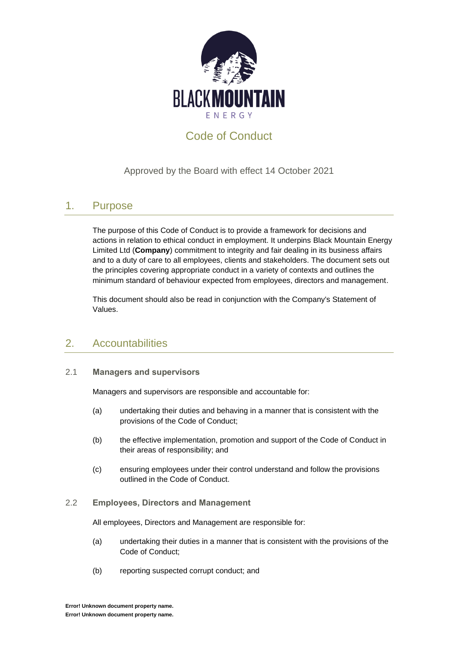

# Code of Conduct

### Approved by the Board with effect 14 October 2021

# 1. Purpose

The purpose of this Code of Conduct is to provide a framework for decisions and actions in relation to ethical conduct in employment. It underpins Black Mountain Energy Limited Ltd (**Company**) commitment to integrity and fair dealing in its business affairs and to a duty of care to all employees, clients and stakeholders. The document sets out the principles covering appropriate conduct in a variety of contexts and outlines the minimum standard of behaviour expected from employees, directors and management.

This document should also be read in conjunction with the Company's Statement of Values.

# 2. Accountabilities

#### 2.1 **Managers and supervisors**

Managers and supervisors are responsible and accountable for:

- (a) undertaking their duties and behaving in a manner that is consistent with the provisions of the Code of Conduct;
- (b) the effective implementation, promotion and support of the Code of Conduct in their areas of responsibility; and
- (c) ensuring employees under their control understand and follow the provisions outlined in the Code of Conduct.

#### 2.2 **Employees, Directors and Management**

All employees, Directors and Management are responsible for:

- (a) undertaking their duties in a manner that is consistent with the provisions of the Code of Conduct;
- (b) reporting suspected corrupt conduct; and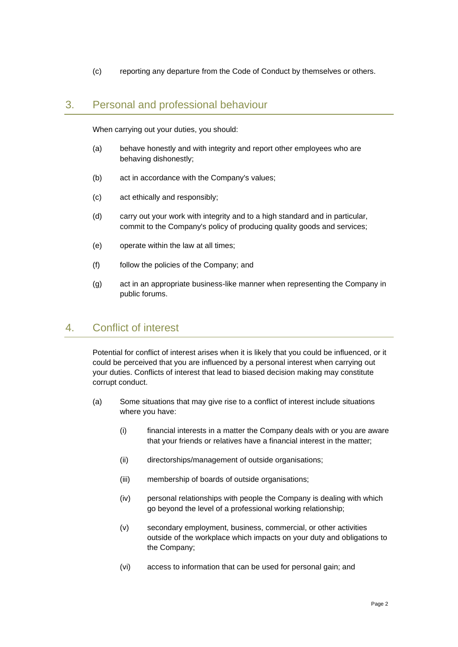(c) reporting any departure from the Code of Conduct by themselves or others.

#### 3. Personal and professional behaviour

When carrying out your duties, you should:

- (a) behave honestly and with integrity and report other employees who are behaving dishonestly;
- (b) act in accordance with the Company's values;
- (c) act ethically and responsibly;
- (d) carry out your work with integrity and to a high standard and in particular, commit to the Company's policy of producing quality goods and services;
- (e) operate within the law at all times;
- (f) follow the policies of the Company; and
- (g) act in an appropriate business-like manner when representing the Company in public forums.

### 4. Conflict of interest

Potential for conflict of interest arises when it is likely that you could be influenced, or it could be perceived that you are influenced by a personal interest when carrying out your duties. Conflicts of interest that lead to biased decision making may constitute corrupt conduct.

- (a) Some situations that may give rise to a conflict of interest include situations where you have:
	- (i) financial interests in a matter the Company deals with or you are aware that your friends or relatives have a financial interest in the matter;
	- (ii) directorships/management of outside organisations;
	- (iii) membership of boards of outside organisations;
	- (iv) personal relationships with people the Company is dealing with which go beyond the level of a professional working relationship;
	- (v) secondary employment, business, commercial, or other activities outside of the workplace which impacts on your duty and obligations to the Company;
	- (vi) access to information that can be used for personal gain; and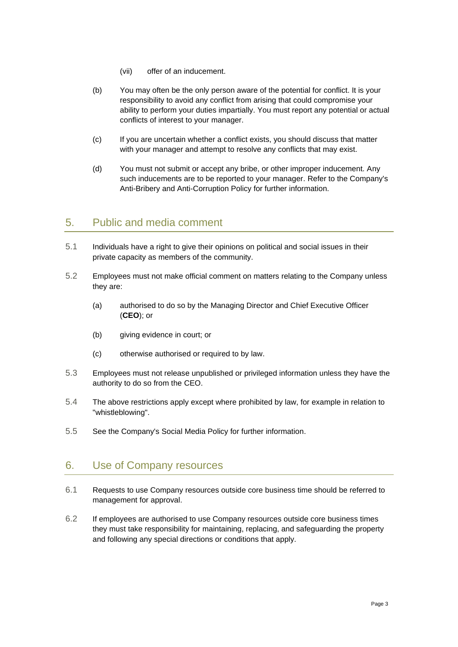- (vii) offer of an inducement.
- (b) You may often be the only person aware of the potential for conflict. It is your responsibility to avoid any conflict from arising that could compromise your ability to perform your duties impartially. You must report any potential or actual conflicts of interest to your manager.
- (c) If you are uncertain whether a conflict exists, you should discuss that matter with your manager and attempt to resolve any conflicts that may exist.
- (d) You must not submit or accept any bribe, or other improper inducement. Any such inducements are to be reported to your manager. Refer to the Company's Anti-Bribery and Anti-Corruption Policy for further information.

### 5. Public and media comment

- 5.1 Individuals have a right to give their opinions on political and social issues in their private capacity as members of the community.
- 5.2 Employees must not make official comment on matters relating to the Company unless they are:
	- (a) authorised to do so by the Managing Director and Chief Executive Officer (**CEO**); or
	- (b) giving evidence in court; or
	- (c) otherwise authorised or required to by law.
- 5.3 Employees must not release unpublished or privileged information unless they have the authority to do so from the CEO.
- 5.4 The above restrictions apply except where prohibited by law, for example in relation to "whistleblowing".
- 5.5 See the Company's Social Media Policy for further information.

### 6. Use of Company resources

- 6.1 Requests to use Company resources outside core business time should be referred to management for approval.
- 6.2 If employees are authorised to use Company resources outside core business times they must take responsibility for maintaining, replacing, and safeguarding the property and following any special directions or conditions that apply.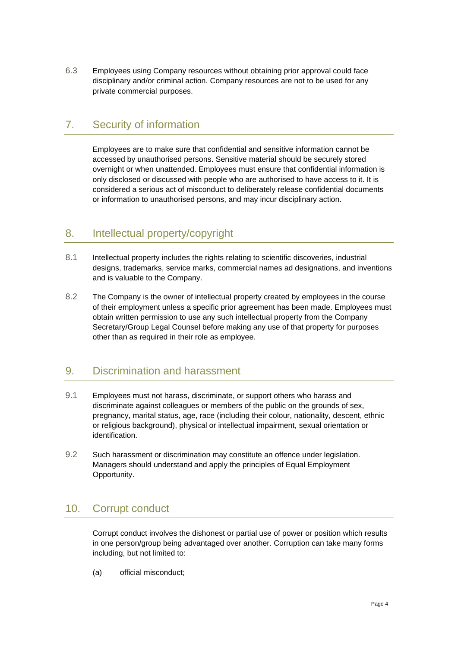6.3 Employees using Company resources without obtaining prior approval could face disciplinary and/or criminal action. Company resources are not to be used for any private commercial purposes.

# 7. Security of information

Employees are to make sure that confidential and sensitive information cannot be accessed by unauthorised persons. Sensitive material should be securely stored overnight or when unattended. Employees must ensure that confidential information is only disclosed or discussed with people who are authorised to have access to it. It is considered a serious act of misconduct to deliberately release confidential documents or information to unauthorised persons, and may incur disciplinary action.

# 8. Intellectual property/copyright

- 8.1 Intellectual property includes the rights relating to scientific discoveries, industrial designs, trademarks, service marks, commercial names ad designations, and inventions and is valuable to the Company.
- 8.2 The Company is the owner of intellectual property created by employees in the course of their employment unless a specific prior agreement has been made. Employees must obtain written permission to use any such intellectual property from the Company Secretary/Group Legal Counsel before making any use of that property for purposes other than as required in their role as employee.

# 9. Discrimination and harassment

- 9.1 Employees must not harass, discriminate, or support others who harass and discriminate against colleagues or members of the public on the grounds of sex, pregnancy, marital status, age, race (including their colour, nationality, descent, ethnic or religious background), physical or intellectual impairment, sexual orientation or identification.
- 9.2 Such harassment or discrimination may constitute an offence under legislation. Managers should understand and apply the principles of Equal Employment Opportunity.

# 10. Corrupt conduct

Corrupt conduct involves the dishonest or partial use of power or position which results in one person/group being advantaged over another. Corruption can take many forms including, but not limited to:

(a) official misconduct;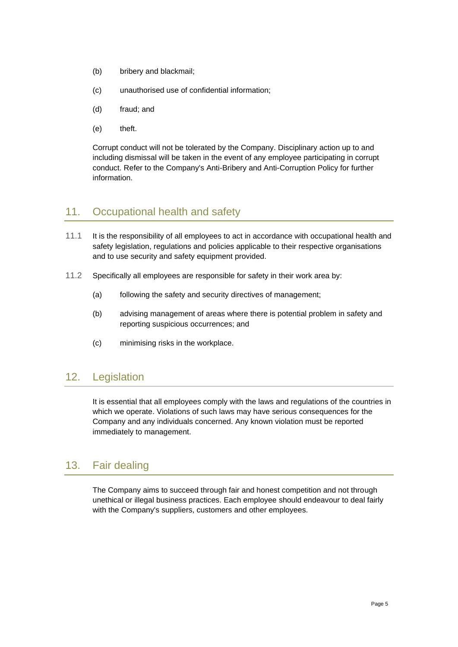- (b) bribery and blackmail;
- (c) unauthorised use of confidential information;
- (d) fraud; and
- (e) theft.

Corrupt conduct will not be tolerated by the Company. Disciplinary action up to and including dismissal will be taken in the event of any employee participating in corrupt conduct. Refer to the Company's Anti-Bribery and Anti-Corruption Policy for further information.

# 11. Occupational health and safety

- 11.1 It is the responsibility of all employees to act in accordance with occupational health and safety legislation, regulations and policies applicable to their respective organisations and to use security and safety equipment provided.
- 11.2 Specifically all employees are responsible for safety in their work area by:
	- (a) following the safety and security directives of management;
	- (b) advising management of areas where there is potential problem in safety and reporting suspicious occurrences; and
	- (c) minimising risks in the workplace.

### 12. Legislation

It is essential that all employees comply with the laws and regulations of the countries in which we operate. Violations of such laws may have serious consequences for the Company and any individuals concerned. Any known violation must be reported immediately to management.

### 13. Fair dealing

The Company aims to succeed through fair and honest competition and not through unethical or illegal business practices. Each employee should endeavour to deal fairly with the Company's suppliers, customers and other employees.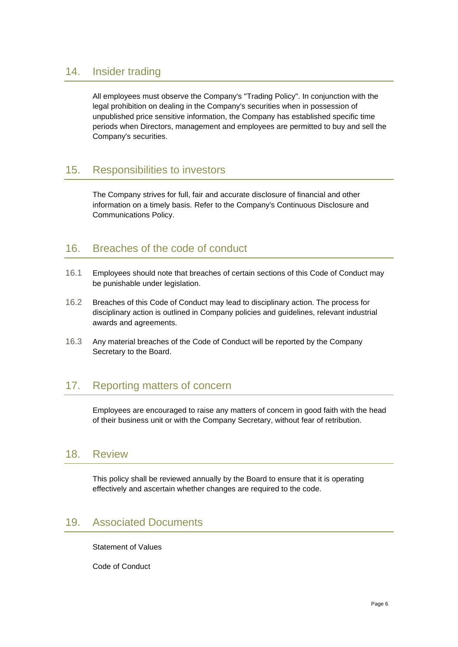### 14. Insider trading

All employees must observe the Company's "Trading Policy". In conjunction with the legal prohibition on dealing in the Company's securities when in possession of unpublished price sensitive information, the Company has established specific time periods when Directors, management and employees are permitted to buy and sell the Company's securities.

# 15. Responsibilities to investors

The Company strives for full, fair and accurate disclosure of financial and other information on a timely basis. Refer to the Company's Continuous Disclosure and Communications Policy.

# 16. Breaches of the code of conduct

- 16.1 Employees should note that breaches of certain sections of this Code of Conduct may be punishable under legislation.
- 16.2 Breaches of this Code of Conduct may lead to disciplinary action. The process for disciplinary action is outlined in Company policies and guidelines, relevant industrial awards and agreements.
- 16.3 Any material breaches of the Code of Conduct will be reported by the Company Secretary to the Board.

# 17. Reporting matters of concern

Employees are encouraged to raise any matters of concern in good faith with the head of their business unit or with the Company Secretary, without fear of retribution.

### 18. Review

This policy shall be reviewed annually by the Board to ensure that it is operating effectively and ascertain whether changes are required to the code.

### 19. Associated Documents

Statement of Values

Code of Conduct